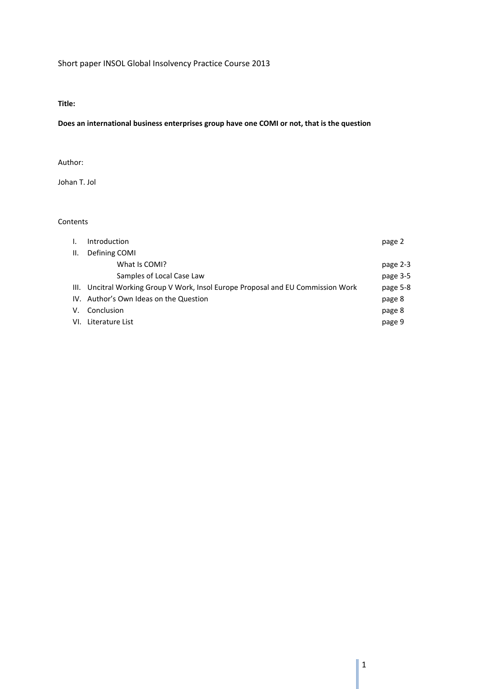# Short paper INSOL Global Insolvency Practice Course 2013

### **Title:**

### **Does an international business enterprises group have one COMI or not, that is the question**

## Author:

Johan T. Jol

# Contents

| L. | Introduction                                                                     | page 2   |
|----|----------------------------------------------------------------------------------|----------|
| Ш. | Defining COMI                                                                    |          |
|    | What Is COMI?                                                                    | page 2-3 |
|    | Samples of Local Case Law                                                        | page 3-5 |
|    | III. Uncitral Working Group V Work, Insol Europe Proposal and EU Commission Work | page 5-8 |
|    | IV. Author's Own Ideas on the Question                                           | page 8   |
|    | V. Conclusion                                                                    | page 8   |
|    | VI. Literature List                                                              | page 9   |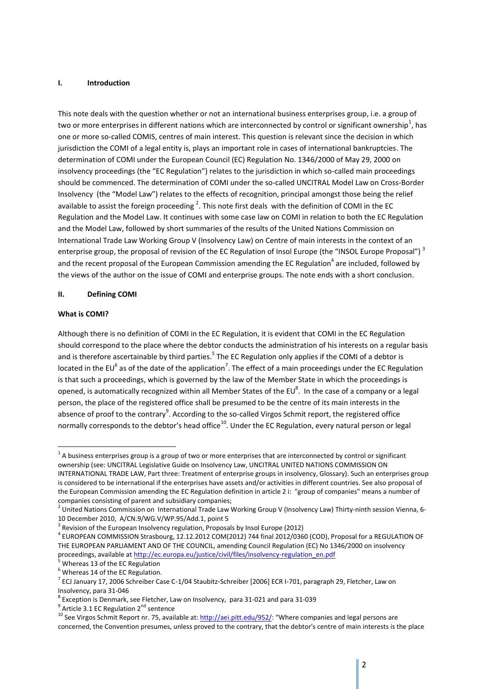#### **I. Introduction**

This note deals with the question whether or not an international business enterprises group, i.e. a group of two or more enterprises in different nations which are interconnected by control or significant ownership<sup>1</sup>, has one or more so-called COMIS, centres of main interest. This question is relevant since the decision in which jurisdiction the COMI of a legal entity is, plays an important role in cases of international bankruptcies. The determination of COMI under the European Council (EC) Regulation No. 1346/2000 of May 29, 2000 on insolvency proceedings (the "EC Regulation") relates to the jurisdiction in which so-called main proceedings should be commenced. The determination of COMI under the so-called UNCITRAL Model Law on Cross-Border Insolvency (the "Model Law") relates to the effects of recognition, principal amongst those being the relief available to assist the foreign proceeding  $^2$ . This note first deals with the definition of COMI in the EC Regulation and the Model Law. It continues with some case law on COMI in relation to both the EC Regulation and the Model Law, followed by short summaries of the results of the United Nations Commission on International Trade Law Working Group V (Insolvency Law) on Centre of main interests in the context of an enterprise group, the proposal of revision of the EC Regulation of Insol Europe (the "INSOL Europe Proposal")<sup>3</sup> and the recent proposal of the European Commission amending the EC Regulation<sup>4</sup> are included, followed by the views of the author on the issue of COMI and enterprise groups. The note ends with a short conclusion.

### **II. Defining COMI**

### **What is COMI?**

1

Although there is no definition of COMI in the EC Regulation, it is evident that COMI in the EC Regulation should correspond to the place where the debtor conducts the administration of his interests on a regular basis and is therefore ascertainable by third parties.<sup>5</sup> The EC Regulation only applies if the COMI of a debtor is located in the EU<sup>6</sup> as of the date of the application<sup>7</sup>. The effect of a main proceedings under the EC Regulation is that such a proceedings, which is governed by the law of the Member State in which the proceedings is opened, is automatically recognized within all Member States of the EU $^8$ . In the case of a company or a legal person, the place of the registered office shall be presumed to be the centre of its main interests in the absence of proof to the contrary<sup>9</sup>. According to the so-called Virgos Schmit report, the registered office normally corresponds to the debtor's head office<sup>10</sup>. Under the EC Regulation, every natural person or legal

 $1$  A business enterprises group is a group of two or more enterprises that are interconnected by control or significant ownership (see: UNCITRAL Legislative Guide on Insolvency Law, UNCITRAL UNITED NATIONS COMMISSION ON INTERNATIONAL TRADE LAW, Part three: Treatment of enterprise groups in insolvency, Glossary). Such an enterprises group is considered to be international if the enterprises have assets and/or activities in different countries. See also proposal of the European Commission amending the EC Regulation definition in article 2 i: "group of companies" means a number of companies consisting of parent and subsidiary companies;

<sup>&</sup>lt;sup>2</sup> United Nations Commission on International Trade Law Working Group V (Insolvency Law) Thirty-ninth session Vienna, 6-10 December 2010, A/CN.9/WG.V/WP.95/Add.1, point 5

 $3$  Revision of the European Insolvency regulation, Proposals by Insol Europe (2012)

<sup>4</sup> EUROPEAN COMMISSION Strasbourg, 12.12.2012 COM(2012) 744 final 2012/0360 (COD), Proposal for a REGULATION OF THE EUROPEAN PARLIAMENT AND OF THE COUNCIL, amending Council Regulation (EC) No 1346/2000 on insolvency proceedings, available a[t http://ec.europa.eu/justice/civil/files/insolvency-regulation\\_en.pdf](http://ec.europa.eu/justice/civil/files/insolvency-regulation_en.pdf)

Whereas 13 of the EC Regulation

 $<sup>6</sup>$  Whereas 14 of the EC Regulation.</sup>

<sup>&</sup>lt;sup>7</sup> ECJ January 17, 2006 Schreiber Case C-1/04 Staubitz-Schreiber [2006] ECR I-701, paragraph 29, Fletcher, Law on Insolvency, para 31-046

 $^8$  Exception is Denmark, see Fletcher, Law on Insolvency, para 31-021 and para 31-039

 $9$  Article 3.1 EC Regulation 2<sup>nd</sup> sentence

<sup>&</sup>lt;sup>10</sup> See Virgos Schmit Report nr. 75, available at[: http://aei.pitt.edu/952/](http://aei.pitt.edu/952/): "Where companies and legal persons are concerned, the Convention presumes, unless proved to the contrary, that the debtor's centre of main interests is the place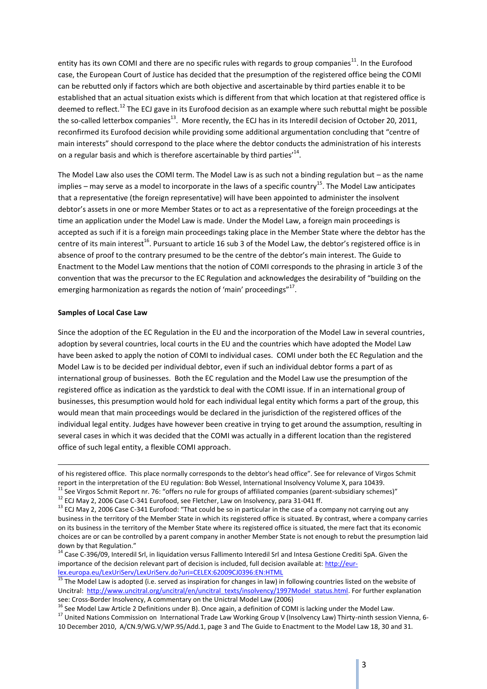entity has its own COMI and there are no specific rules with regards to group companies<sup>11</sup>. In the Eurofood case, the European Court of Justice has decided that the presumption of the registered office being the COMI can be rebutted only if factors which are both objective and ascertainable by third parties enable it to be established that an actual situation exists which is different from that which location at that registered office is deemed to reflect.<sup>12</sup> The ECJ gave in its Eurofood decision as an example where such rebuttal might be possible the so-called letterbox companies<sup>13</sup>. More recently, the ECJ has in its Interedil decision of October 20, 2011, reconfirmed its Eurofood decision while providing some additional argumentation concluding that "centre of main interests" should correspond to the place where the debtor conducts the administration of his interests on a regular basis and which is therefore ascertainable by third parties<sup> $14$ </sup>.

The Model Law also uses the COMI term. The Model Law is as such not a binding regulation but – as the name implies – may serve as a model to incorporate in the laws of a specific country<sup>15</sup>. The Model Law anticipates that a representative (the foreign representative) will have been appointed to administer the insolvent debtor's assets in one or more Member States or to act as a representative of the foreign proceedings at the time an application under the Model Law is made. Under the Model Law, a foreign main proceedings is accepted as such if it is a foreign main proceedings taking place in the Member State where the debtor has the centre of its main interest<sup>16</sup>. Pursuant to article 16 sub 3 of the Model Law, the debtor's registered office is in absence of proof to the contrary presumed to be the centre of the debtor's main interest. The Guide to Enactment to the Model Law mentions that the notion of COMI corresponds to the phrasing in article 3 of the convention that was the precursor to the EC Regulation and acknowledges the desirability of "building on the emerging harmonization as regards the notion of 'main' proceedings"<sup>17</sup>.

#### **Samples of Local Case Law**

**.** 

Since the adoption of the EC Regulation in the EU and the incorporation of the Model Law in several countries, adoption by several countries, local courts in the EU and the countries which have adopted the Model Law have been asked to apply the notion of COMI to individual cases. COMI under both the EC Regulation and the Model Law is to be decided per individual debtor, even if such an individual debtor forms a part of as international group of businesses. Both the EC regulation and the Model Law use the presumption of the registered office as indication as the yardstick to deal with the COMI issue. If in an international group of businesses, this presumption would hold for each individual legal entity which forms a part of the group, this would mean that main proceedings would be declared in the jurisdiction of the registered offices of the individual legal entity. Judges have however been creative in trying to get around the assumption, resulting in several cases in which it was decided that the COMI was actually in a different location than the registered office of such legal entity, a flexible COMI approach.

of his registered office. This place normally corresponds to the debtor's head office". See for relevance of Virgos Schmit report in the interpretation of the EU regulation: Bob Wessel, International Insolvency Volume X, para 10439.

<sup>&</sup>lt;sup>11</sup> See Virgos Schmit Report nr. 76: "offers no rule for groups of affiliated companies (parent-subsidiary schemes)"

<sup>12</sup> ECJ May 2, 2006 Case C-341 Eurofood, see Fletcher, Law on Insolvency, para 31-041 ff.

 $13$  ECJ May 2, 2006 Case C-341 Eurofood: "That could be so in particular in the case of a company not carrying out any business in the territory of the Member State in which its registered office is situated. By contrast, where a company carries on its business in the territory of the Member State where its registered office is situated, the mere fact that its economic choices are or can be controlled by a parent company in another Member State is not enough to rebut the presumption laid down by that Regulation."

<sup>&</sup>lt;sup>14</sup> Case C-396/09, Interedil Srl, in liquidation versus Fallimento Interedil Srl and Intesa Gestione Crediti SpA. Given the importance of the decision relevant part of decision is included, full decision available at[: http://eur](http://eur-lex.europa.eu/LexUriServ/LexUriServ.do?uri=CELEX:62009CJ0396:EN:HTML)[lex.europa.eu/LexUriServ/LexUriServ.do?uri=CELEX:62009CJ0396:EN:HTML](http://eur-lex.europa.eu/LexUriServ/LexUriServ.do?uri=CELEX:62009CJ0396:EN:HTML)

<sup>&</sup>lt;sup>15</sup> The Model Law is adopted (i.e. served as inspiration for changes in law) in following countries listed on the website of Uncitral: [http://www.uncitral.org/uncitral/en/uncitral\\_texts/insolvency/1997Model\\_status.html.](http://www.uncitral.org/uncitral/en/uncitral_texts/insolvency/1997Model_status.html) For further explanation see: Cross-Border Insolvency, A commentary on the Unictral Model Law (2006)

 $16$  See Model Law Article 2 Definitions under B). Once again, a definition of COMI is lacking under the Model Law.

<sup>&</sup>lt;sup>17</sup> United Nations Commission on International Trade Law Working Group V (Insolvency Law) Thirty-ninth session Vienna, 6-10 December 2010, A/CN.9/WG.V/WP.95/Add.1, page 3 and The Guide to Enactment to the Model Law 18, 30 and 31.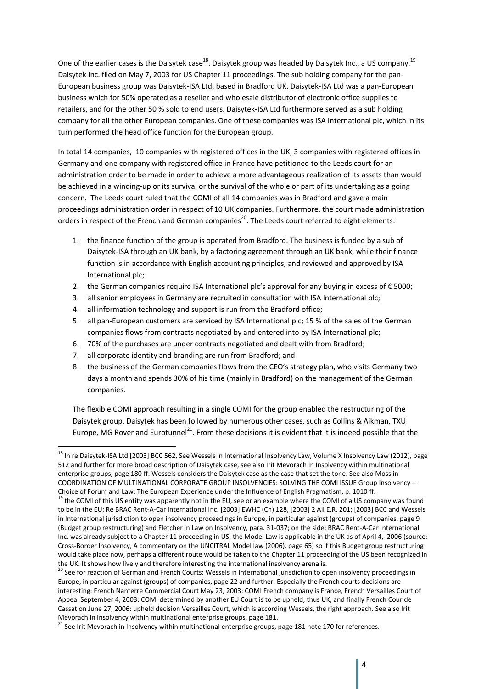One of the earlier cases is the Daisytek case<sup>18</sup>. Daisytek group was headed by Daisytek Inc., a US company.<sup>19</sup> Daisytek Inc. filed on May 7, 2003 for US Chapter 11 proceedings. The sub holding company for the pan-European business group was Daisytek-ISA Ltd, based in Bradford UK. Daisytek-ISA Ltd was a pan-European business which for 50% operated as a reseller and wholesale distributor of electronic office supplies to retailers, and for the other 50 % sold to end users. Daisytek-ISA Ltd furthermore served as a sub holding company for all the other European companies. One of these companies was ISA International plc, which in its turn performed the head office function for the European group.

In total 14 companies, 10 companies with registered offices in the UK, 3 companies with registered offices in Germany and one company with registered office in France have petitioned to the Leeds court for an administration order to be made in order to achieve a more advantageous realization of its assets than would be achieved in a winding-up or its survival or the survival of the whole or part of its undertaking as a going concern. The Leeds court ruled that the COMI of all 14 companies was in Bradford and gave a main proceedings administration order in respect of 10 UK companies. Furthermore, the court made administration orders in respect of the French and German companies<sup>20</sup>. The Leeds court referred to eight elements:

- 1. the finance function of the group is operated from Bradford. The business is funded by a sub of Daisytek-ISA through an UK bank, by a factoring agreement through an UK bank, while their finance function is in accordance with English accounting principles, and reviewed and approved by ISA International plc;
- 2. the German companies require ISA International plc's approval for any buying in excess of € 5000;
- 3. all senior employees in Germany are recruited in consultation with ISA International plc;
- 4. all information technology and support is run from the Bradford office;
- 5. all pan-European customers are serviced by ISA International plc; 15 % of the sales of the German companies flows from contracts negotiated by and entered into by ISA International plc;
- 6. 70% of the purchases are under contracts negotiated and dealt with from Bradford;
- 7. all corporate identity and branding are run from Bradford; and

1

8. the business of the German companies flows from the CEO's strategy plan, who visits Germany two days a month and spends 30% of his time (mainly in Bradford) on the management of the German companies.

The flexible COMI approach resulting in a single COMI for the group enabled the restructuring of the Daisytek group. Daisytek has been followed by numerous other cases, such as Collins & Aikman, TXU Europe, MG Rover and Eurotunnel<sup>21</sup>. From these decisions it is evident that it is indeed possible that the

<sup>&</sup>lt;sup>18</sup> In re Daisytek-ISA Ltd [2003] BCC 562, See Wessels in International Insolvency Law, Volume X Insolvency Law (2012), page 512 and further for more broad description of Daisytek case, see also Irit Mevorach in Insolvency within multinational enterprise groups, page 180 ff. Wessels considers the Daisytek case as the case that set the tone. See also Moss in COORDINATION OF MULTINATIONAL CORPORATE GROUP INSOLVENCIES: SOLVING THE COMI ISSUE Group Insolvency – Choice of Forum and Law: The European Experience under the Influence of English Pragmatism, p. 1010 ff.

 $19$  the COMI of this US entity was apparently not in the EU, see or an example where the COMI of a US company was found to be in the EU: Re BRAC Rent-A-Car International Inc. [2003] EWHC (Ch) 128, [2003] 2 All E.R. 201; [2003] BCC and Wessels in International jurisdiction to open insolvency proceedings in Europe, in particular against (groups) of companies, page 9 (Budget group restructuring) and Fletcher in Law on Insolvency, para. 31-037; on the side: BRAC Rent-A-Car International Inc. was already subject to a Chapter 11 proceeding in US; the Model Law is applicable in the UK as of April 4, 2006 (source: Cross-Border Insolvency, A commentary on the UNCITRAL Model law (2006), page 65) so if this Budget group restructuring would take place now, perhaps a different route would be taken to the Chapter 11 proceeding of the US been recognized in the UK. It shows how lively and therefore interesting the international insolvency arena is.

<sup>&</sup>lt;sup>20</sup> See for reaction of German and French Courts: Wessels in International jurisdiction to open insolvency proceedings in Europe, in particular against (groups) of companies, page 22 and further. Especially the French courts decisions are interesting: French Nanterre Commercial Court May 23, 2003: COMI French company is France, French Versailles Court of Appeal September 4, 2003: COMI determined by another EU Court is to be upheld, thus UK, and finally French Cour de Cassation June 27, 2006: upheld decision Versailles Court, which is according Wessels, the right approach. See also Irit Mevorach in Insolvency within multinational enterprise groups, page 181.

<sup>&</sup>lt;sup>21</sup> See Irit Mevorach in Insolvency within multinational enterprise groups, page 181 note 170 for references.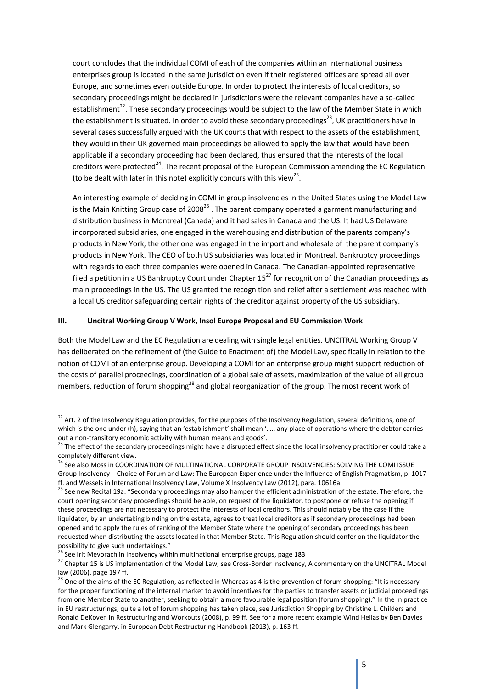court concludes that the individual COMI of each of the companies within an international business enterprises group is located in the same jurisdiction even if their registered offices are spread all over Europe, and sometimes even outside Europe. In order to protect the interests of local creditors, so secondary proceedings might be declared in jurisdictions were the relevant companies have a so-called establishment<sup>22</sup>. These secondary proceedings would be subject to the law of the Member State in which the establishment is situated. In order to avoid these secondary proceedings<sup>23</sup>, UK practitioners have in several cases successfully argued with the UK courts that with respect to the assets of the establishment, they would in their UK governed main proceedings be allowed to apply the law that would have been applicable if a secondary proceeding had been declared, thus ensured that the interests of the local creditors were protected<sup>24</sup>. The recent proposal of the European Commission amending the EC Regulation (to be dealt with later in this note) explicitly concurs with this view<sup>25</sup>.

An interesting example of deciding in COMI in group insolvencies in the United States using the Model Law is the Main Knitting Group case of 2008<sup>26</sup>. The parent company operated a garment manufacturing and distribution business in Montreal (Canada) and it had sales in Canada and the US. It had US Delaware incorporated subsidiaries, one engaged in the warehousing and distribution of the parents company's products in New York, the other one was engaged in the import and wholesale of the parent company's products in New York. The CEO of both US subsidiaries was located in Montreal. Bankruptcy proceedings with regards to each three companies were opened in Canada. The Canadian-appointed representative filed a petition in a US Bankruptcy Court under Chapter  $15^{27}$  for recognition of the Canadian proceedings as main proceedings in the US. The US granted the recognition and relief after a settlement was reached with a local US creditor safeguarding certain rights of the creditor against property of the US subsidiary.

### **III. Uncitral Working Group V Work, Insol Europe Proposal and EU Commission Work**

Both the Model Law and the EC Regulation are dealing with single legal entities. UNCITRAL Working Group V has deliberated on the refinement of (the Guide to Enactment of) the Model Law, specifically in relation to the notion of COMI of an enterprise group. Developing a COMI for an enterprise group might support reduction of the costs of parallel proceedings, coordination of a global sale of assets, maximization of the value of all group members, reduction of forum shopping<sup>28</sup> and global reorganization of the group. The most recent work of

1

 $22$  Art. 2 of the Insolvency Regulation provides, for the purposes of the Insolvency Regulation, several definitions, one of which is the one under (h), saying that an 'establishment' shall mean '..... any place of operations where the debtor carries out a non-transitory economic activity with human means and goods'.

<sup>&</sup>lt;sup>23</sup> The effect of the secondary proceedings might have a disrupted effect since the local insolvency practitioner could take a completely different view.

<sup>&</sup>lt;sup>24</sup> See also Moss in COORDINATION OF MULTINATIONAL CORPORATE GROUP INSOLVENCIES: SOLVING THE COMI ISSUE Group Insolvency – Choice of Forum and Law: The European Experience under the Influence of English Pragmatism, p. 1017 ff. and Wessels in International Insolvency Law, Volume X Insolvency Law (2012), para. 10616a.

<sup>&</sup>lt;sup>25</sup> See new Recital 19a: "Secondary proceedings may also hamper the efficient administration of the estate. Therefore, the court opening secondary proceedings should be able, on request of the liquidator, to postpone or refuse the opening if these proceedings are not necessary to protect the interests of local creditors. This should notably be the case if the liquidator, by an undertaking binding on the estate, agrees to treat local creditors as if secondary proceedings had been opened and to apply the rules of ranking of the Member State where the opening of secondary proceedings has been requested when distributing the assets located in that Member State. This Regulation should confer on the liquidator the possibility to give such undertakings."

<sup>&</sup>lt;sup>26</sup> See Irit Mevorach in Insolvency within multinational enterprise groups, page 183

<sup>&</sup>lt;sup>27</sup> Chapter 15 is US implementation of the Model Law, see Cross-Border Insolvency, A commentary on the UNCITRAL Model law (2006), page 197 ff.

<sup>&</sup>lt;sup>28</sup> One of the aims of the EC Regulation, as reflected in Whereas as 4 is the prevention of forum shopping: "It is necessary for the proper functioning of the internal market to avoid incentives for the parties to transfer assets or judicial proceedings from one Member State to another, seeking to obtain a more favourable legal position (forum shopping)." In the In practice in EU restructurings, quite a lot of forum shopping has taken place, see Jurisdiction Shopping by Christine L. Childers and Ronald DeKoven in Restructuring and Workouts (2008), p. 99 ff. See for a more recent example Wind Hellas by Ben Davies and Mark Glengarry, in European Debt Restructuring Handbook (2013), p. 163 ff.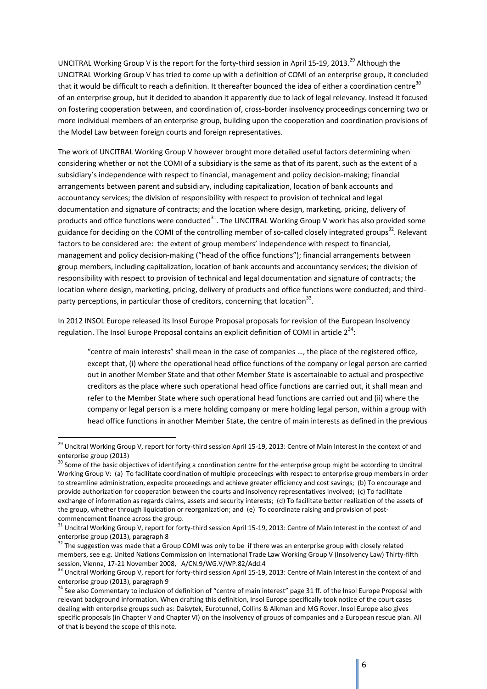UNCITRAL Working Group V is the report for the forty-third session in April 15-19, 2013.<sup>29</sup> Although the UNCITRAL Working Group V has tried to come up with a definition of COMI of an enterprise group, it concluded that it would be difficult to reach a definition. It thereafter bounced the idea of either a coordination centre $30$ of an enterprise group, but it decided to abandon it apparently due to lack of legal relevancy. Instead it focused on fostering cooperation between, and coordination of, cross-border insolvency proceedings concerning two or more individual members of an enterprise group, building upon the cooperation and coordination provisions of the Model Law between foreign courts and foreign representatives.

The work of UNCITRAL Working Group V however brought more detailed useful factors determining when considering whether or not the COMI of a subsidiary is the same as that of its parent, such as the extent of a subsidiary's independence with respect to financial, management and policy decision-making; financial arrangements between parent and subsidiary, including capitalization, location of bank accounts and accountancy services; the division of responsibility with respect to provision of technical and legal documentation and signature of contracts; and the location where design, marketing, pricing, delivery of products and office functions were conducted<sup>31</sup>. The UNCITRAL Working Group V work has also provided some guidance for deciding on the COMI of the controlling member of so-called closely integrated groups<sup>32</sup>. Relevant factors to be considered are: the extent of group members' independence with respect to financial, management and policy decision-making ("head of the office functions"); financial arrangements between group members, including capitalization, location of bank accounts and accountancy services; the division of responsibility with respect to provision of technical and legal documentation and signature of contracts; the location where design, marketing, pricing, delivery of products and office functions were conducted; and thirdparty perceptions, in particular those of creditors, concerning that location<sup>33</sup>.

In 2012 INSOL Europe released its Insol Europe Proposal proposals for revision of the European Insolvency regulation. The Insol Europe Proposal contains an explicit definition of COMI in article  $2^{34}$ :

"centre of main interests" shall mean in the case of companies …, the place of the registered office, except that, (i) where the operational head office functions of the company or legal person are carried out in another Member State and that other Member State is ascertainable to actual and prospective creditors as the place where such operational head office functions are carried out, it shall mean and refer to the Member State where such operational head functions are carried out and (ii) where the company or legal person is a mere holding company or mere holding legal person, within a group with head office functions in another Member State, the centre of main interests as defined in the previous

**.** 

<sup>&</sup>lt;sup>29</sup> Uncitral Working Group V, report for forty-third session April 15-19, 2013: Centre of Main Interest in the context of and enterprise group (2013)

<sup>&</sup>lt;sup>30</sup> Some of the basic objectives of identifying a coordination centre for the enterprise group might be according to Uncitral Working Group V: (a) To facilitate coordination of multiple proceedings with respect to enterprise group members in order to streamline administration, expedite proceedings and achieve greater efficiency and cost savings; (b) To encourage and provide authorization for cooperation between the courts and insolvency representatives involved; (c) To facilitate exchange of information as regards claims, assets and security interests; (d) To facilitate better realization of the assets of the group, whether through liquidation or reorganization; and (e) To coordinate raising and provision of postcommencement finance across the group.

<sup>&</sup>lt;sup>31</sup> Uncitral Working Group V, report for forty-third session April 15-19, 2013: Centre of Main Interest in the context of and enterprise group (2013), paragraph 8

 $32$  The suggestion was made that a Group COMI was only to be if there was an enterprise group with closely related members, see e.g. United Nations Commission on International Trade Law Working Group V (Insolvency Law) Thirty-fifth session, Vienna, 17-21 November 2008, A/CN.9/WG.V/WP.82/Add.4

<sup>33</sup> Uncitral Working Group V, report for forty-third session April 15-19, 2013: Centre of Main Interest in the context of and enterprise group (2013), paragraph 9

<sup>&</sup>lt;sup>34</sup> See also Commentary to inclusion of definition of "centre of main interest" page 31 ff. of the Insol Europe Proposal with relevant background information. When drafting this definition, Insol Europe specifically took notice of the court cases dealing with enterprise groups such as: Daisytek, Eurotunnel, Collins & Aikman and MG Rover. Insol Europe also gives specific proposals (in Chapter V and Chapter VI) on the insolvency of groups of companies and a European rescue plan. All of that is beyond the scope of this note.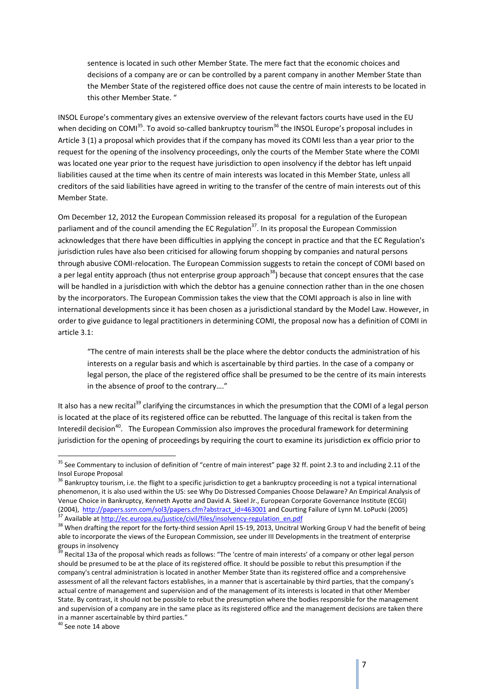sentence is located in such other Member State. The mere fact that the economic choices and decisions of a company are or can be controlled by a parent company in another Member State than the Member State of the registered office does not cause the centre of main interests to be located in this other Member State. "

INSOL Europe's commentary gives an extensive overview of the relevant factors courts have used in the EU when deciding on COMI<sup>35</sup>. To avoid so-called bankruptcy tourism<sup>36</sup> the INSOL Europe's proposal includes in Article 3 (1) a proposal which provides that if the company has moved its COMI less than a year prior to the request for the opening of the insolvency proceedings, only the courts of the Member State where the COMI was located one year prior to the request have jurisdiction to open insolvency if the debtor has left unpaid liabilities caused at the time when its centre of main interests was located in this Member State, unless all creditors of the said liabilities have agreed in writing to the transfer of the centre of main interests out of this Member State.

Om December 12, 2012 the European Commission released its proposal for a regulation of the European parliament and of the council amending the EC Regulation<sup>37</sup>. In its proposal the European Commission acknowledges that there have been difficulties in applying the concept in practice and that the EC Regulation's jurisdiction rules have also been criticised for allowing forum shopping by companies and natural persons through abusive COMI-relocation. The European Commission suggests to retain the concept of COMI based on a per legal entity approach (thus not enterprise group approach<sup>38</sup>) because that concept ensures that the case will be handled in a jurisdiction with which the debtor has a genuine connection rather than in the one chosen by the incorporators. The European Commission takes the view that the COMI approach is also in line with international developments since it has been chosen as a jurisdictional standard by the Model Law. However, in order to give guidance to legal practitioners in determining COMI, the proposal now has a definition of COMI in article 3.1:

"The centre of main interests shall be the place where the debtor conducts the administration of his interests on a regular basis and which is ascertainable by third parties. In the case of a company or legal person, the place of the registered office shall be presumed to be the centre of its main interests in the absence of proof to the contrary…."

It also has a new recital<sup>39</sup> clarifying the circumstances in which the presumption that the COMI of a legal person is located at the place of its registered office can be rebutted. The language of this recital is taken from the Interedil decision<sup>40</sup>. The European Commission also improves the procedural framework for determining jurisdiction for the opening of proceedings by requiring the court to examine its jurisdiction ex officio prior to

**.** 

<sup>&</sup>lt;sup>35</sup> See Commentary to inclusion of definition of "centre of main interest" page 32 ff. point 2.3 to and including 2.11 of the Insol Europe Proposal

<sup>&</sup>lt;sup>36</sup> Bankruptcy tourism, i.e. the flight to a specific jurisdiction to get a bankruptcy proceeding is not a typical international phenomenon, it is also used within the US: see Why Do Distressed Companies Choose Delaware? An Empirical Analysis of Venue Choice in Bankruptcy, Kenneth Ayotte and David A. Skeel Jr., European Corporate Governance Institute (ECGI) (2004), [http://papers.ssrn.com/sol3/papers.cfm?abstract\\_id=463001](http://papers.ssrn.com/sol3/papers.cfm?abstract_id=463001) and Courting Failure of Lynn M. LoPucki (2005) Available a[t http://ec.europa.eu/justice/civil/files/insolvency-regulation\\_en.pdf](http://ec.europa.eu/justice/civil/files/insolvency-regulation_en.pdf)

<sup>&</sup>lt;sup>38</sup> When drafting the report for the forty-third session April 15-19, 2013, Uncitral Working Group V had the benefit of being able to incorporate the views of the European Commission, see under III Developments in the treatment of enterprise groups in insolvency

<sup>&</sup>lt;sup>39</sup> Recital 13a of the proposal which reads as follows: "The 'centre of main interests' of a company or other legal person should be presumed to be at the place of its registered office. It should be possible to rebut this presumption if the company's central administration is located in another Member State than its registered office and a comprehensive assessment of all the relevant factors establishes, in a manner that is ascertainable by third parties, that the company's actual centre of management and supervision and of the management of its interests is located in that other Member State. By contrast, it should not be possible to rebut the presumption where the bodies responsible for the management and supervision of a company are in the same place as its registered office and the management decisions are taken there in a manner ascertainable by third parties."

<sup>&</sup>lt;sup>40</sup> See note 14 above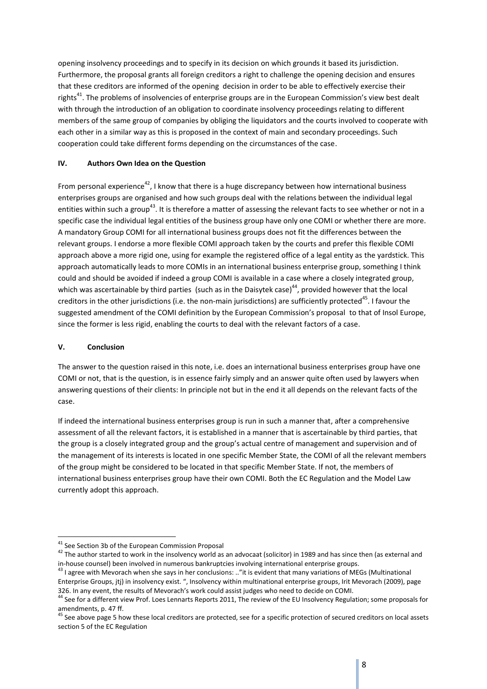opening insolvency proceedings and to specify in its decision on which grounds it based its jurisdiction. Furthermore, the proposal grants all foreign creditors a right to challenge the opening decision and ensures that these creditors are informed of the opening decision in order to be able to effectively exercise their rights<sup>41</sup>. The problems of insolvencies of enterprise groups are in the European Commission's view best dealt with through the introduction of an obligation to coordinate insolvency proceedings relating to different members of the same group of companies by obliging the liquidators and the courts involved to cooperate with each other in a similar way as this is proposed in the context of main and secondary proceedings. Such cooperation could take different forms depending on the circumstances of the case.

### **IV. Authors Own Idea on the Question**

From personal experience<sup>42</sup>, I know that there is a huge discrepancy between how international business enterprises groups are organised and how such groups deal with the relations between the individual legal entities within such a group<sup>43</sup>. It is therefore a matter of assessing the relevant facts to see whether or not in a specific case the individual legal entities of the business group have only one COMI or whether there are more. A mandatory Group COMI for all international business groups does not fit the differences between the relevant groups. I endorse a more flexible COMI approach taken by the courts and prefer this flexible COMI approach above a more rigid one, using for example the registered office of a legal entity as the yardstick. This approach automatically leads to more COMIs in an international business enterprise group, something I think could and should be avoided if indeed a group COMI is available in a case where a closely integrated group, which was ascertainable by third parties (such as in the Daisytek case)<sup>44</sup>, provided however that the local creditors in the other jurisdictions (i.e. the non-main jurisdictions) are sufficiently protected<sup>45</sup>. I favour the suggested amendment of the COMI definition by the European Commission's proposal to that of Insol Europe, since the former is less rigid, enabling the courts to deal with the relevant factors of a case.

## **V. Conclusion**

The answer to the question raised in this note, i.e. does an international business enterprises group have one COMI or not, that is the question, is in essence fairly simply and an answer quite often used by lawyers when answering questions of their clients: In principle not but in the end it all depends on the relevant facts of the case.

If indeed the international business enterprises group is run in such a manner that, after a comprehensive assessment of all the relevant factors, it is established in a manner that is ascertainable by third parties, that the group is a closely integrated group and the group's actual centre of management and supervision and of the management of its interests is located in one specific Member State, the COMI of all the relevant members of the group might be considered to be located in that specific Member State. If not, the members of international business enterprises group have their own COMI. Both the EC Regulation and the Model Law currently adopt this approach.

**<sup>.</sup>** <sup>41</sup> See Section 3b of the European Commission Proposal

<sup>&</sup>lt;sup>42</sup> The author started to work in the insolvency world as an advocaat (solicitor) in 1989 and has since then (as external and in-house counsel) been involved in numerous bankruptcies involving international enterprise groups.

 $43$  I agree with Mevorach when she says in her conclusions: .."it is evident that many variations of MEGs (Multinational Enterprise Groups, jtj) in insolvency exist. ", Insolvency within multinational enterprise groups, Irit Mevorach (2009), page 326. In any event, the results of Mevorach's work could assist judges who need to decide on COMI.

**<sup>44</sup> See for a different view Prof. Loes Lennarts Reports 2011, The review of the EU Insolvency Regulation; some proposals for** amendments, p. 47 ff.

<sup>&</sup>lt;sup>45</sup> See above page 5 how these local creditors are protected, see for a specific protection of secured creditors on local assets section 5 of the EC Regulation